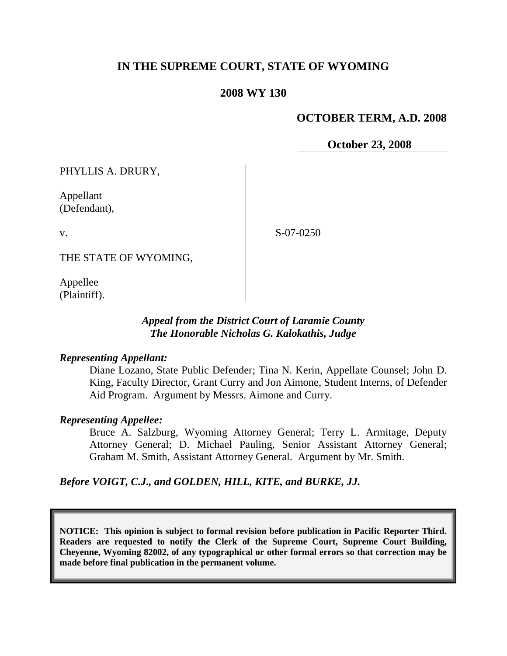# **IN THE SUPREME COURT, STATE OF WYOMING**

#### **2008 WY 130**

#### **OCTOBER TERM, A.D. 2008**

**October 23, 2008**

PHYLLIS A. DRURY,

Appellant (Defendant),

v.

S-07-0250

THE STATE OF WYOMING,

Appellee (Plaintiff).

#### *Appeal from the District Court of Laramie County The Honorable Nicholas G. Kalokathis, Judge*

#### *Representing Appellant:*

Diane Lozano, State Public Defender; Tina N. Kerin, Appellate Counsel; John D. King, Faculty Director, Grant Curry and Jon Aimone, Student Interns, of Defender Aid Program. Argument by Messrs. Aimone and Curry.

#### *Representing Appellee:*

Bruce A. Salzburg, Wyoming Attorney General; Terry L. Armitage, Deputy Attorney General; D. Michael Pauling, Senior Assistant Attorney General; Graham M. Smith, Assistant Attorney General. Argument by Mr. Smith.

*Before VOIGT, C.J., and GOLDEN, HILL, KITE, and BURKE, JJ.*

**NOTICE: This opinion is subject to formal revision before publication in Pacific Reporter Third. Readers are requested to notify the Clerk of the Supreme Court, Supreme Court Building, Cheyenne, Wyoming 82002, of any typographical or other formal errors so that correction may be made before final publication in the permanent volume.**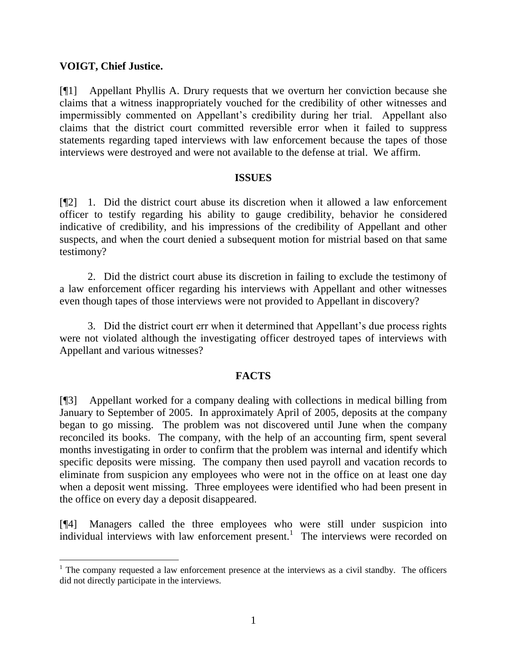# **VOIGT, Chief Justice.**

[¶1] Appellant Phyllis A. Drury requests that we overturn her conviction because she claims that a witness inappropriately vouched for the credibility of other witnesses and impermissibly commented on Appellant's credibility during her trial. Appellant also claims that the district court committed reversible error when it failed to suppress statements regarding taped interviews with law enforcement because the tapes of those interviews were destroyed and were not available to the defense at trial. We affirm.

#### **ISSUES**

[¶2] 1. Did the district court abuse its discretion when it allowed a law enforcement officer to testify regarding his ability to gauge credibility, behavior he considered indicative of credibility, and his impressions of the credibility of Appellant and other suspects, and when the court denied a subsequent motion for mistrial based on that same testimony?

2. Did the district court abuse its discretion in failing to exclude the testimony of a law enforcement officer regarding his interviews with Appellant and other witnesses even though tapes of those interviews were not provided to Appellant in discovery?

3. Did the district court err when it determined that Appellant's due process rights were not violated although the investigating officer destroyed tapes of interviews with Appellant and various witnesses?

# **FACTS**

[¶3] Appellant worked for a company dealing with collections in medical billing from January to September of 2005. In approximately April of 2005, deposits at the company began to go missing. The problem was not discovered until June when the company reconciled its books. The company, with the help of an accounting firm, spent several months investigating in order to confirm that the problem was internal and identify which specific deposits were missing. The company then used payroll and vacation records to eliminate from suspicion any employees who were not in the office on at least one day when a deposit went missing. Three employees were identified who had been present in the office on every day a deposit disappeared.

[¶4] Managers called the three employees who were still under suspicion into  $\frac{1}{2}$  individual interviews with law enforcement present.<sup>1</sup> The interviews were recorded on

 $1$ . The company requested a law enforcement presence at the interviews as a civil standby. The officers did not directly participate in the interviews.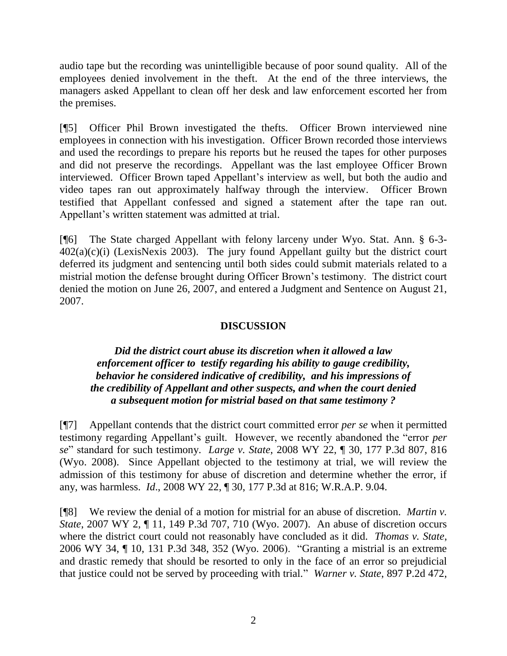audio tape but the recording was unintelligible because of poor sound quality. All of the employees denied involvement in the theft. At the end of the three interviews, the managers asked Appellant to clean off her desk and law enforcement escorted her from the premises.

[¶5] Officer Phil Brown investigated the thefts. Officer Brown interviewed nine employees in connection with his investigation. Officer Brown recorded those interviews and used the recordings to prepare his reports but he reused the tapes for other purposes and did not preserve the recordings. Appellant was the last employee Officer Brown interviewed. Officer Brown taped Appellant's interview as well, but both the audio and video tapes ran out approximately halfway through the interview. Officer Brown testified that Appellant confessed and signed a statement after the tape ran out. Appellant's written statement was admitted at trial.

[¶6] The State charged Appellant with felony larceny under Wyo. Stat. Ann. § 6-3-  $402(a)(c)(i)$  (LexisNexis 2003). The jury found Appellant guilty but the district court deferred its judgment and sentencing until both sides could submit materials related to a mistrial motion the defense brought during Officer Brown's testimony. The district court denied the motion on June 26, 2007, and entered a Judgment and Sentence on August 21, 2007.

# **DISCUSSION**

# *Did the district court abuse its discretion when it allowed a law enforcement officer to testify regarding his ability to gauge credibility, behavior he considered indicative of credibility, and his impressions of the credibility of Appellant and other suspects, and when the court denied a subsequent motion for mistrial based on that same testimony ?*

[¶7] Appellant contends that the district court committed error *per se* when it permitted testimony regarding Appellant's guilt. However, we recently abandoned the "error *per se*" standard for such testimony. *Large v. State*, 2008 WY 22, ¶ 30, 177 P.3d 807, 816 (Wyo. 2008). Since Appellant objected to the testimony at trial, we will review the admission of this testimony for abuse of discretion and determine whether the error, if any, was harmless. *Id*., 2008 WY 22, ¶ 30, 177 P.3d at 816; W.R.A.P. 9.04.

[¶8] We review the denial of a motion for mistrial for an abuse of discretion. *Martin v. State*, 2007 WY 2, ¶ 11, 149 P.3d 707, 710 (Wyo. 2007). An abuse of discretion occurs where the district court could not reasonably have concluded as it did. *Thomas v. State*, 2006 WY 34, ¶ 10, 131 P.3d 348, 352 (Wyo. 2006). "Granting a mistrial is an extreme and drastic remedy that should be resorted to only in the face of an error so prejudicial that justice could not be served by proceeding with trial." *Warner v. State*, 897 P.2d 472,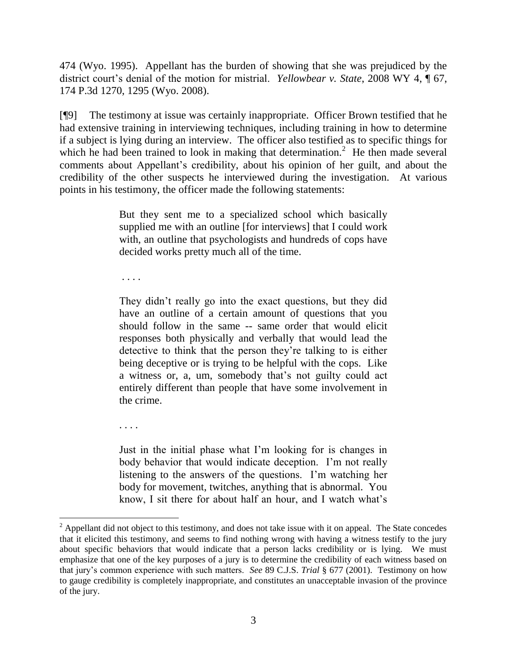474 (Wyo. 1995). Appellant has the burden of showing that she was prejudiced by the district court's denial of the motion for mistrial. *Yellowbear v. State*, 2008 WY 4, ¶ 67, 174 P.3d 1270, 1295 (Wyo. 2008).

[¶9] The testimony at issue was certainly inappropriate. Officer Brown testified that he had extensive training in interviewing techniques, including training in how to determine if a subject is lying during an interview. The officer also testified as to specific things for which he had been trained to look in making that determination.<sup>2</sup> He then made several comments about Appellant's credibility, about his opinion of her guilt, and about the credibility of the other suspects he interviewed during the investigation. At various points in his testimony, the officer made the following statements:

> But they sent me to a specialized school which basically supplied me with an outline [for interviews] that I could work with, an outline that psychologists and hundreds of cops have decided works pretty much all of the time.

. . . .

. . . .

 $\overline{a}$ 

They didn't really go into the exact questions, but they did have an outline of a certain amount of questions that you should follow in the same -- same order that would elicit responses both physically and verbally that would lead the detective to think that the person they're talking to is either being deceptive or is trying to be helpful with the cops. Like a witness or, a, um, somebody that's not guilty could act entirely different than people that have some involvement in the crime.

Just in the initial phase what I'm looking for is changes in body behavior that would indicate deception. I'm not really listening to the answers of the questions. I'm watching her body for movement, twitches, anything that is abnormal. You know, I sit there for about half an hour, and I watch what's

 $2$  Appellant did not object to this testimony, and does not take issue with it on appeal. The State concedes that it elicited this testimony, and seems to find nothing wrong with having a witness testify to the jury about specific behaviors that would indicate that a person lacks credibility or is lying. We must emphasize that one of the key purposes of a jury is to determine the credibility of each witness based on that jury's common experience with such matters. *See* 89 C.J.S. *Trial* § 677 (2001). Testimony on how to gauge credibility is completely inappropriate, and constitutes an unacceptable invasion of the province of the jury.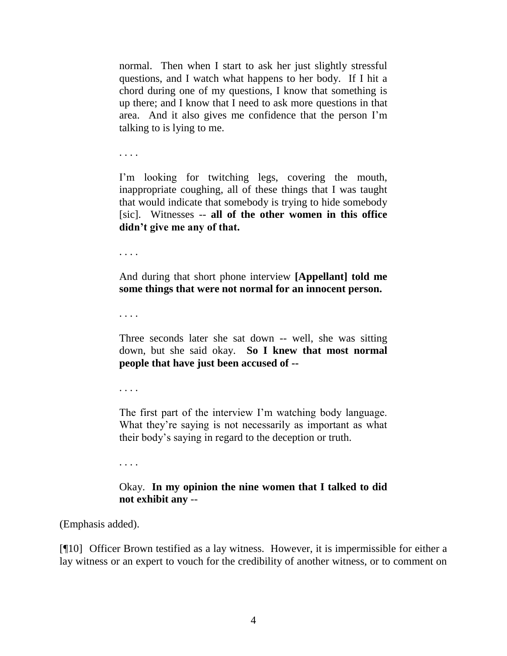normal. Then when I start to ask her just slightly stressful questions, and I watch what happens to her body. If I hit a chord during one of my questions, I know that something is up there; and I know that I need to ask more questions in that area. And it also gives me confidence that the person I'm talking to is lying to me.

. . . .

I'm looking for twitching legs, covering the mouth, inappropriate coughing, all of these things that I was taught that would indicate that somebody is trying to hide somebody [sic]. Witnesses -- **all of the other women in this office didn't give me any of that.** 

. . . .

And during that short phone interview **[Appellant] told me some things that were not normal for an innocent person.**

. . . .

Three seconds later she sat down -- well, she was sitting down, but she said okay. **So I knew that most normal people that have just been accused of --**

. . . .

The first part of the interview I'm watching body language. What they're saying is not necessarily as important as what their body's saying in regard to the deception or truth.

. . . .

# Okay. **In my opinion the nine women that I talked to did not exhibit any** --

(Emphasis added).

[¶10] Officer Brown testified as a lay witness. However, it is impermissible for either a lay witness or an expert to vouch for the credibility of another witness, or to comment on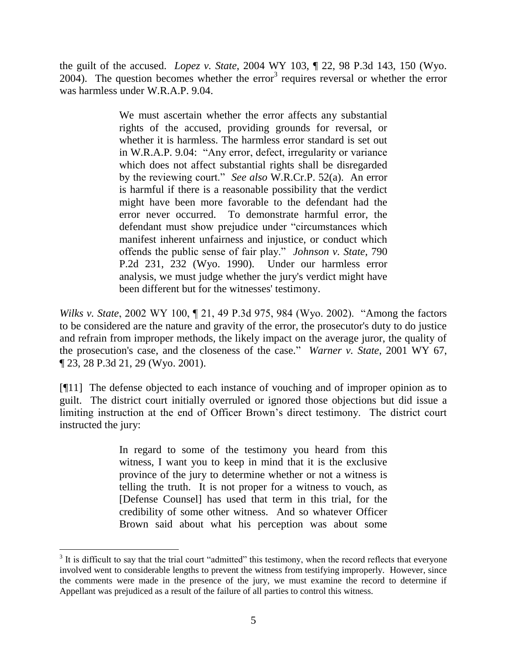the guilt of the accused. *Lopez v. State*, 2004 WY 103, ¶ 22, 98 P.3d 143, 150 (Wyo.  $2004$ ). The question becomes whether the error<sup>3</sup> requires reversal or whether the error was harmless under W.R.A.P. 9.04.

> We must ascertain whether the error affects any substantial rights of the accused, providing grounds for reversal, or whether it is harmless. The harmless error standard is set out in W.R.A.P. 9.04: "Any error, defect, irregularity or variance which does not affect substantial rights shall be disregarded by the reviewing court." *See also* W.R.Cr.P. 52(a). An error is harmful if there is a reasonable possibility that the verdict might have been more favorable to the defendant had the error never occurred. To demonstrate harmful error, the defendant must show prejudice under "circumstances which manifest inherent unfairness and injustice, or conduct which offends the public sense of fair play." *Johnson v. State*, 790 P.2d 231, 232 (Wyo. 1990). Under our harmless error analysis, we must judge whether the jury's verdict might have been different but for the witnesses' testimony.

*Wilks v. State*, 2002 WY 100, ¶ 21, 49 P.3d 975, 984 (Wyo. 2002). "Among the factors to be considered are the nature and gravity of the error, the prosecutor's duty to do justice and refrain from improper methods, the likely impact on the average juror, the quality of the prosecution's case, and the closeness of the case." *Warner v. State*, 2001 WY 67, ¶ 23, 28 P.3d 21, 29 (Wyo. 2001).

[¶11] The defense objected to each instance of vouching and of improper opinion as to guilt. The district court initially overruled or ignored those objections but did issue a limiting instruction at the end of Officer Brown's direct testimony. The district court instructed the jury:

> In regard to some of the testimony you heard from this witness, I want you to keep in mind that it is the exclusive province of the jury to determine whether or not a witness is telling the truth. It is not proper for a witness to vouch, as [Defense Counsel] has used that term in this trial, for the credibility of some other witness. And so whatever Officer Brown said about what his perception was about some

 $\overline{a}$ 

 $3$  It is difficult to say that the trial court "admitted" this testimony, when the record reflects that everyone involved went to considerable lengths to prevent the witness from testifying improperly. However, since the comments were made in the presence of the jury, we must examine the record to determine if Appellant was prejudiced as a result of the failure of all parties to control this witness.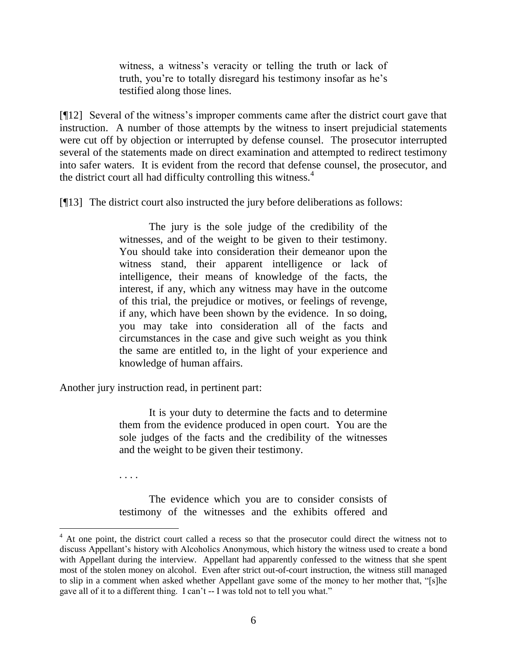witness, a witness's veracity or telling the truth or lack of truth, you're to totally disregard his testimony insofar as he's testified along those lines.

[¶12] Several of the witness's improper comments came after the district court gave that instruction. A number of those attempts by the witness to insert prejudicial statements were cut off by objection or interrupted by defense counsel. The prosecutor interrupted several of the statements made on direct examination and attempted to redirect testimony into safer waters. It is evident from the record that defense counsel, the prosecutor, and the district court all had difficulty controlling this witness. $4$ 

[¶13] The district court also instructed the jury before deliberations as follows:

The jury is the sole judge of the credibility of the witnesses, and of the weight to be given to their testimony. You should take into consideration their demeanor upon the witness stand, their apparent intelligence or lack of intelligence, their means of knowledge of the facts, the interest, if any, which any witness may have in the outcome of this trial, the prejudice or motives, or feelings of revenge, if any, which have been shown by the evidence. In so doing, you may take into consideration all of the facts and circumstances in the case and give such weight as you think the same are entitled to, in the light of your experience and knowledge of human affairs.

Another jury instruction read, in pertinent part:

. . . .

It is your duty to determine the facts and to determine them from the evidence produced in open court. You are the sole judges of the facts and the credibility of the witnesses and the weight to be given their testimony.

The evidence which you are to consider consists of testimony of the witnesses and the exhibits offered and

 $4$  At one point, the district court called a recess so that the prosecutor could direct the witness not to discuss Appellant's history with Alcoholics Anonymous, which history the witness used to create a bond with Appellant during the interview. Appellant had apparently confessed to the witness that she spent most of the stolen money on alcohol. Even after strict out-of-court instruction, the witness still managed to slip in a comment when asked whether Appellant gave some of the money to her mother that, "[s]he gave all of it to a different thing. I can't -- I was told not to tell you what."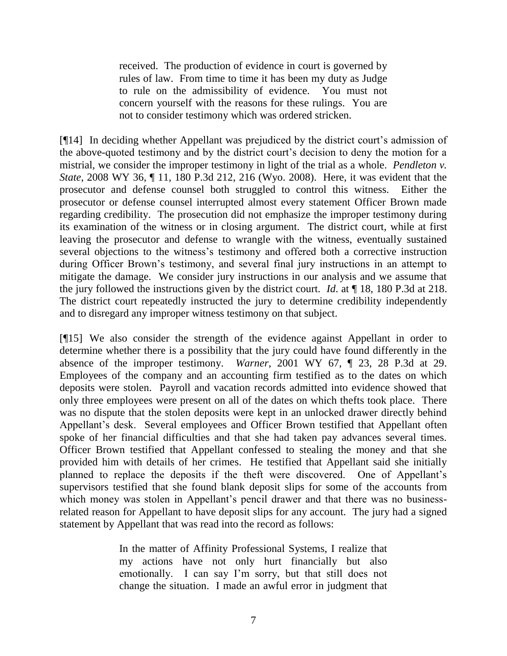received. The production of evidence in court is governed by rules of law. From time to time it has been my duty as Judge to rule on the admissibility of evidence. You must not concern yourself with the reasons for these rulings. You are not to consider testimony which was ordered stricken.

[¶14] In deciding whether Appellant was prejudiced by the district court's admission of the above-quoted testimony and by the district court's decision to deny the motion for a mistrial, we consider the improper testimony in light of the trial as a whole. *Pendleton v. State*, 2008 WY 36, ¶ 11, 180 P.3d 212, 216 (Wyo. 2008). Here, it was evident that the prosecutor and defense counsel both struggled to control this witness. Either the prosecutor or defense counsel interrupted almost every statement Officer Brown made regarding credibility. The prosecution did not emphasize the improper testimony during its examination of the witness or in closing argument. The district court, while at first leaving the prosecutor and defense to wrangle with the witness, eventually sustained several objections to the witness's testimony and offered both a corrective instruction during Officer Brown's testimony, and several final jury instructions in an attempt to mitigate the damage. We consider jury instructions in our analysis and we assume that the jury followed the instructions given by the district court. *Id*. at ¶ 18, 180 P.3d at 218. The district court repeatedly instructed the jury to determine credibility independently and to disregard any improper witness testimony on that subject.

[¶15] We also consider the strength of the evidence against Appellant in order to determine whether there is a possibility that the jury could have found differently in the absence of the improper testimony. *Warner*, 2001 WY 67, ¶ 23, 28 P.3d at 29. Employees of the company and an accounting firm testified as to the dates on which deposits were stolen. Payroll and vacation records admitted into evidence showed that only three employees were present on all of the dates on which thefts took place. There was no dispute that the stolen deposits were kept in an unlocked drawer directly behind Appellant's desk. Several employees and Officer Brown testified that Appellant often spoke of her financial difficulties and that she had taken pay advances several times. Officer Brown testified that Appellant confessed to stealing the money and that she provided him with details of her crimes. He testified that Appellant said she initially planned to replace the deposits if the theft were discovered. One of Appellant's supervisors testified that she found blank deposit slips for some of the accounts from which money was stolen in Appellant's pencil drawer and that there was no businessrelated reason for Appellant to have deposit slips for any account. The jury had a signed statement by Appellant that was read into the record as follows:

> In the matter of Affinity Professional Systems, I realize that my actions have not only hurt financially but also emotionally. I can say I'm sorry, but that still does not change the situation. I made an awful error in judgment that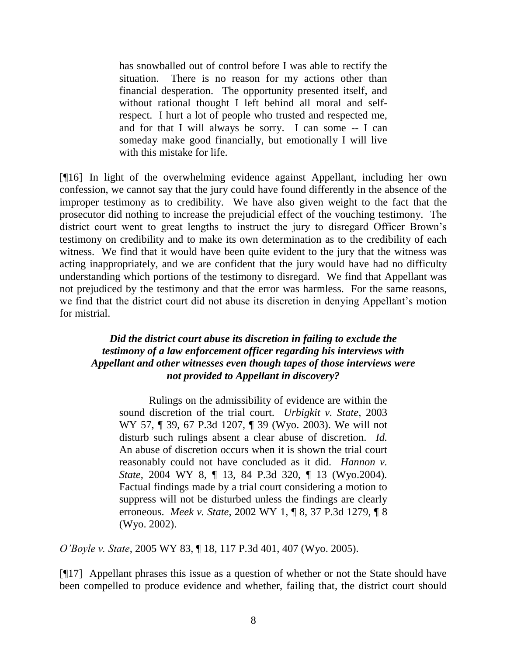has snowballed out of control before I was able to rectify the situation. There is no reason for my actions other than financial desperation. The opportunity presented itself, and without rational thought I left behind all moral and selfrespect. I hurt a lot of people who trusted and respected me, and for that I will always be sorry. I can some -- I can someday make good financially, but emotionally I will live with this mistake for life.

[¶16] In light of the overwhelming evidence against Appellant, including her own confession, we cannot say that the jury could have found differently in the absence of the improper testimony as to credibility. We have also given weight to the fact that the prosecutor did nothing to increase the prejudicial effect of the vouching testimony. The district court went to great lengths to instruct the jury to disregard Officer Brown's testimony on credibility and to make its own determination as to the credibility of each witness. We find that it would have been quite evident to the jury that the witness was acting inappropriately, and we are confident that the jury would have had no difficulty understanding which portions of the testimony to disregard. We find that Appellant was not prejudiced by the testimony and that the error was harmless. For the same reasons, we find that the district court did not abuse its discretion in denying Appellant's motion for mistrial.

# *Did the district court abuse its discretion in failing to exclude the testimony of a law enforcement officer regarding his interviews with Appellant and other witnesses even though tapes of those interviews were not provided to Appellant in discovery?*

Rulings on the admissibility of evidence are within the sound discretion of the trial court. *Urbigkit v. State*, 2003 WY 57, ¶ 39, 67 P.3d 1207, ¶ 39 (Wyo. 2003). We will not disturb such rulings absent a clear abuse of discretion. *Id.* An abuse of discretion occurs when it is shown the trial court reasonably could not have concluded as it did. *Hannon v. State*, 2004 WY 8, ¶ 13, 84 P.3d 320, ¶ 13 (Wyo.2004). Factual findings made by a trial court considering a motion to suppress will not be disturbed unless the findings are clearly erroneous. *Meek v. State*, 2002 WY 1, ¶ 8, 37 P.3d 1279, ¶ 8 (Wyo. 2002).

*O'Boyle v. State*, 2005 WY 83, ¶ 18, 117 P.3d 401, 407 (Wyo. 2005).

[¶17] Appellant phrases this issue as a question of whether or not the State should have been compelled to produce evidence and whether, failing that, the district court should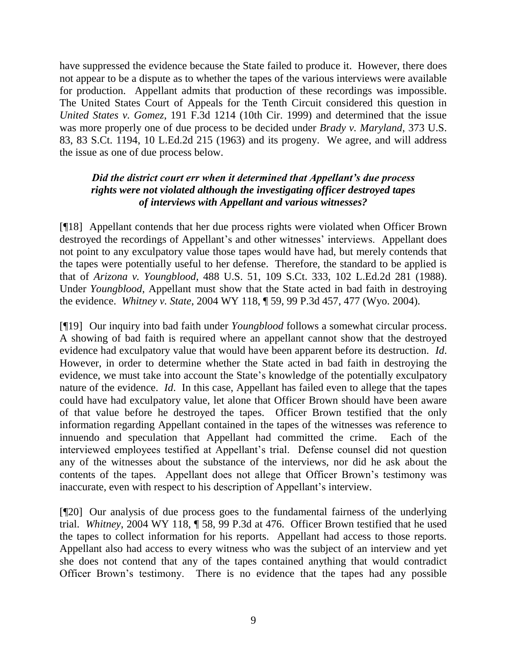have suppressed the evidence because the State failed to produce it. However, there does not appear to be a dispute as to whether the tapes of the various interviews were available for production. Appellant admits that production of these recordings was impossible. The United States Court of Appeals for the Tenth Circuit considered this question in *United States v. Gomez*, 191 F.3d 1214 (10th Cir. 1999) and determined that the issue was more properly one of due process to be decided under *Brady v. Maryland*, 373 U.S. 83, 83 S.Ct. 1194, 10 L.Ed.2d 215 (1963) and its progeny. We agree, and will address the issue as one of due process below.

# *Did the district court err when it determined that Appellant's due process rights were not violated although the investigating officer destroyed tapes of interviews with Appellant and various witnesses?*

[¶18] Appellant contends that her due process rights were violated when Officer Brown destroyed the recordings of Appellant's and other witnesses' interviews. Appellant does not point to any exculpatory value those tapes would have had, but merely contends that the tapes were potentially useful to her defense. Therefore, the standard to be applied is that of *Arizona v. Youngblood*, 488 U.S. 51, 109 S.Ct. 333, 102 L.Ed.2d 281 (1988). Under *Youngblood*, Appellant must show that the State acted in bad faith in destroying the evidence. *Whitney v. State*, 2004 WY 118, ¶ 59, 99 P.3d 457, 477 (Wyo. 2004).

[¶19] Our inquiry into bad faith under *Youngblood* follows a somewhat circular process. A showing of bad faith is required where an appellant cannot show that the destroyed evidence had exculpatory value that would have been apparent before its destruction. *Id*. However, in order to determine whether the State acted in bad faith in destroying the evidence, we must take into account the State's knowledge of the potentially exculpatory nature of the evidence. *Id*. In this case, Appellant has failed even to allege that the tapes could have had exculpatory value, let alone that Officer Brown should have been aware of that value before he destroyed the tapes. Officer Brown testified that the only information regarding Appellant contained in the tapes of the witnesses was reference to innuendo and speculation that Appellant had committed the crime. Each of the interviewed employees testified at Appellant's trial. Defense counsel did not question any of the witnesses about the substance of the interviews, nor did he ask about the contents of the tapes. Appellant does not allege that Officer Brown's testimony was inaccurate, even with respect to his description of Appellant's interview.

[¶20] Our analysis of due process goes to the fundamental fairness of the underlying trial. *Whitney*, 2004 WY 118, ¶ 58, 99 P.3d at 476. Officer Brown testified that he used the tapes to collect information for his reports. Appellant had access to those reports. Appellant also had access to every witness who was the subject of an interview and yet she does not contend that any of the tapes contained anything that would contradict Officer Brown's testimony. There is no evidence that the tapes had any possible